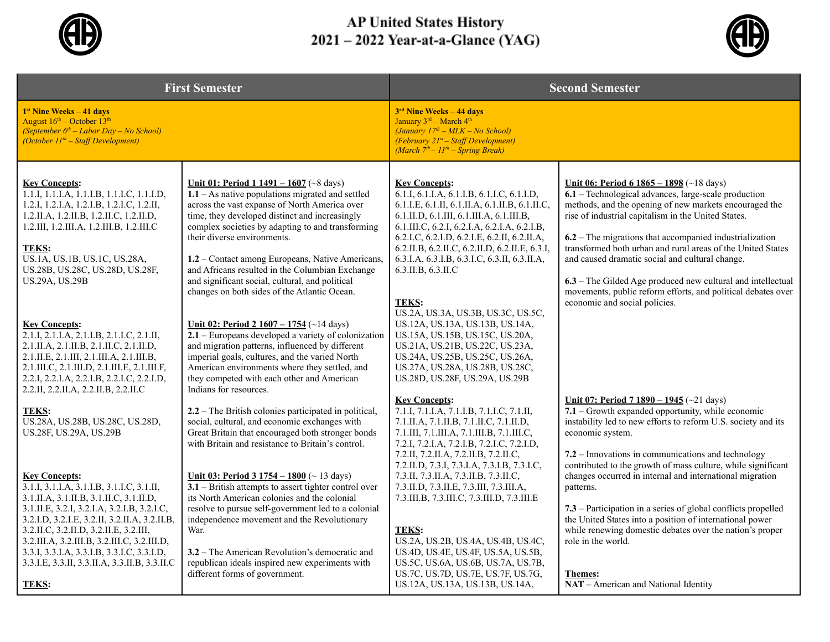

## AP United States History<br>2021 – 2022 Year-at-a-Glance (YAG)



| <b>First Semester</b>                                                                                                                                                                                                                                                                                                                                                                                                |                                                                                                                                                                                                                                                                                                                                                                                                                                                                                                   | <b>Second Semester</b>                                                                                                                                                                                                                                                                                                                                                                                                                                        |                                                                                                                                                                                                                                                                                                                                                                                                                                                                                                                                                                         |
|----------------------------------------------------------------------------------------------------------------------------------------------------------------------------------------------------------------------------------------------------------------------------------------------------------------------------------------------------------------------------------------------------------------------|---------------------------------------------------------------------------------------------------------------------------------------------------------------------------------------------------------------------------------------------------------------------------------------------------------------------------------------------------------------------------------------------------------------------------------------------------------------------------------------------------|---------------------------------------------------------------------------------------------------------------------------------------------------------------------------------------------------------------------------------------------------------------------------------------------------------------------------------------------------------------------------------------------------------------------------------------------------------------|-------------------------------------------------------------------------------------------------------------------------------------------------------------------------------------------------------------------------------------------------------------------------------------------------------------------------------------------------------------------------------------------------------------------------------------------------------------------------------------------------------------------------------------------------------------------------|
| 1 <sup>st</sup> Nine Weeks – 41 days<br>August $16^{\text{th}}$ – October $13^{\text{th}}$<br>(September $6^{th}$ – Labor Day – No School)<br>(October $11^{th}$ – Staff Development)                                                                                                                                                                                                                                |                                                                                                                                                                                                                                                                                                                                                                                                                                                                                                   | 3 <sup>rd</sup> Nine Weeks – 44 days<br>January 3rd - March 4th<br>$(January 17th - MLK - No School)$<br>(February 21st - Staff Development)<br>(March $7^{th} - 11^{th} -$ Spring Break)                                                                                                                                                                                                                                                                     |                                                                                                                                                                                                                                                                                                                                                                                                                                                                                                                                                                         |
| <b>Key Concepts:</b><br>1.1.I, 1.1.I.A, 1.1.I.B, 1.1.I.C, 1.1.I.D,<br>1.2.I, 1.2.I.A, 1.2.I.B, 1.2.I.C, 1.2.II,<br>1.2.II.A, 1.2.II.B, 1.2.II.C, 1.2.II.D,<br>1.2.III, 1.2.III.A, 1.2.III.B, 1.2.III.C<br><b>TEKS:</b><br>US.1A, US.1B, US.1C, US.28A,<br>US.28B, US.28C, US.28D, US.28F,<br>US.29A, US.29B                                                                                                          | Unit 01: Period $1\,1491 - 1607$ (~8 days)<br>$1.1 - As$ native populations migrated and settled<br>across the vast expanse of North America over<br>time, they developed distinct and increasingly<br>complex societies by adapting to and transforming<br>their diverse environments.<br>1.2 - Contact among Europeans, Native Americans,<br>and Africans resulted in the Columbian Exchange<br>and significant social, cultural, and political<br>changes on both sides of the Atlantic Ocean. | <b>Key Concepts:</b><br>6.1.I, 6.1.I.A, 6.1.I.B, 6.1.I.C, 6.1.I.D,<br>6.1.I.E, 6.1.II, 6.1.II.A, 6.1.II.B, 6.1.II.C,<br>6.1.II.D, 6.1.III, 6.1.III.A, 6.1.III.B,<br>$6.1$ .III.C, $6.2$ .I, $6.2$ .I.A, $6.2$ .I.A, $6.2$ .I.B,<br>6.2.I.C, 6.2.I.D, 6.2.I.E, 6.2.II, 6.2.II.A,<br>6.2.II.B, 6.2.II.C, 6.2.II.D, 6.2.II.E, 6.3.I,<br>6.3.I.A, 6.3.I.B, 6.3.I.C, 6.3.II, 6.3.II.A,<br>6.3.II.B, 6.3.II.C<br><b>TEKS:</b><br>US.2A, US.3A, US.3B, US.3C, US.5C, | <u>Unit 06: Period 6 1865 – 1898</u> (~18 days)<br>6.1 – Technological advances, large-scale production<br>methods, and the opening of new markets encouraged the<br>rise of industrial capitalism in the United States.<br>$6.2$ – The migrations that accompanied industrialization<br>transformed both urban and rural areas of the United States<br>and caused dramatic social and cultural change.<br>6.3 – The Gilded Age produced new cultural and intellectual<br>movements, public reform efforts, and political debates over<br>economic and social policies. |
| <b>Kev Concepts:</b><br>2.1.I, 2.1.I.A, 2.1.I.B, 2.1.I.C, 2.1.II,<br>2.1.II.A, 2.1.II.B, 2.1.II.C, 2.1.II.D,<br>2.1.II.E, 2.1.III, 2.1.III.A, 2.1.III.B,<br>2.1.III.C, 2.1.III.D, 2.1.III.E, 2.1.III.F,<br>2.2.I, 2.2.I.A, 2.2.I.B, 2.2.I.C, 2.2.I.D,<br>2.2.II, 2.2.II.A, 2.2.II.B, 2.2.II.C                                                                                                                        | Unit 02: Period 2 $1607 - 1754$ (~14 days)<br>$2.1$ – Europeans developed a variety of colonization<br>and migration patterns, influenced by different<br>imperial goals, cultures, and the varied North<br>American environments where they settled, and<br>they competed with each other and American<br>Indians for resources.                                                                                                                                                                 | US.12A, US.13A, US.13B, US.14A,<br>US.15A, US.15B, US.15C, US.20A,<br>US.21A, US.21B, US.22C, US.23A,<br>US.24A, US.25B, US.25C, US.26A,<br>US.27A, US.28A, US.28B, US.28C,<br>US.28D, US.28F, US.29A, US.29B                                                                                                                                                                                                                                                 |                                                                                                                                                                                                                                                                                                                                                                                                                                                                                                                                                                         |
| <b>TEKS:</b><br>US.28A, US.28B, US.28C, US.28D,<br>US.28F, US.29A, US.29B                                                                                                                                                                                                                                                                                                                                            | 2.2 – The British colonies participated in political,<br>social, cultural, and economic exchanges with<br>Great Britain that encouraged both stronger bonds<br>with Britain and resistance to Britain's control.                                                                                                                                                                                                                                                                                  | <b>Key Concepts:</b><br>7.1.I, 7.1.I.A, 7.1.I.B, 7.1.I.C, 7.1.II,<br>7.1.II.A, 7.1.II.B, 7.1.II.C, 7.1.II.D,<br>7.1.III, 7.1.III.A, 7.1.III.B, 7.1.III.C,<br>7.2.I, 7.2.I.A, 7.2.I.B, 7.2.I.C, 7.2.I.D,<br>7.2.II, 7.2.II.A, 7.2.II.B, 7.2.II.C,<br>7.2.II.D, 7.3.I, 7.3.I.A, 7.3.I.B, 7.3.I.C,                                                                                                                                                               | Unit 07: Period 7 1890 - 1945 (~21 days)<br>$7.1 -$ Growth expanded opportunity, while economic<br>instability led to new efforts to reform U.S. society and its<br>economic system.<br>$7.2$ – Innovations in communications and technology<br>contributed to the growth of mass culture, while significant                                                                                                                                                                                                                                                            |
| <b>Key Concepts:</b><br>3.1.I, 3.1.I.A, 3.1.I.B, 3.1.I.C, 3.1.II,<br>3.1.II.A, 3.1.II.B, 3.1.II.C, 3.1.II.D,<br>3.1.II.E, 3.2.I, 3.2.I.A, 3.2.I.B, 3.2.I.C,<br>3.2.I.D, 3.2.I.E, 3.2.II, 3.2.II.A, 3.2.II.B,<br>3.2.II.C, 3.2.II.D, 3.2.II.E, 3.2.III,<br>3.2.III.A, 3.2.III.B, 3.2.III.C, 3.2.III.D,<br>3.3.I, 3.3.I.A, 3.3.I.B, 3.3.I.C, 3.3.I.D,<br>3.3.I.E, 3.3.II, 3.3.II.A, 3.3.II.B, 3.3.II.C<br><b>TEKS:</b> | Unit 03: Period 3 $1754 - 1800$ ( $\sim$ 13 days)<br>$3.1$ – British attempts to assert tighter control over<br>its North American colonies and the colonial<br>resolve to pursue self-government led to a colonial<br>independence movement and the Revolutionary<br>War.<br>3.2 – The American Revolution's democratic and<br>republican ideals inspired new experiments with<br>different forms of government.                                                                                 | 7.3.II, 7.3.II.A, 7.3.II.B, 7.3.II.C,<br>7.3.II.D, 7.3.II.E, 7.3.III, 7.3.III.A,<br>7.3. III. B, 7.3. III. C, 7.3. III. D, 7.3. III. E<br><b>TEKS:</b><br>US.2A, US.2B, US.4A, US.4B, US.4C,<br>US.4D, US.4E, US.4F, US.5A, US.5B,<br>US.5C, US.6A, US.6B, US.7A, US.7B,<br>US.7C, US.7D, US.7E, US.7F, US.7G,<br>US.12A, US.13A, US.13B, US.14A,                                                                                                             | changes occurred in internal and international migration<br>patterns.<br>7.3 – Participation in a series of global conflicts propelled<br>the United States into a position of international power<br>while renewing domestic debates over the nation's proper<br>role in the world.<br><b>Themes:</b><br>NAT - American and National Identity                                                                                                                                                                                                                          |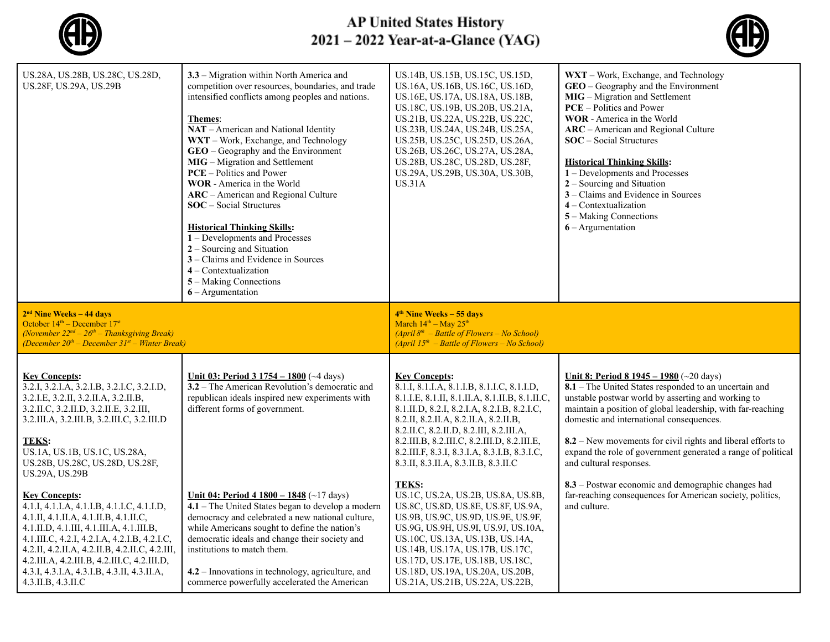

## AP United States History<br>2021 – 2022 Year-at-a-Glance (YAG)



| US.28A, US.28B, US.28C, US.28D,<br>US.28F, US.29A, US.29B                                                                                                                                                                                                                                                                                                                      | 3.3 – Migration within North America and<br>competition over resources, boundaries, and trade<br>intensified conflicts among peoples and nations.<br>Themes:<br>NAT - American and National Identity<br>WXT - Work, Exchange, and Technology<br>$GEO - Geography$ and the Environment<br>MIG - Migration and Settlement<br><b>PCE</b> – Politics and Power<br>WOR - America in the World<br>ARC - American and Regional Culture<br><b>SOC</b> – Social Structures<br><b>Historical Thinking Skills:</b><br>1 - Developments and Processes<br>$2 -$ Sourcing and Situation<br>3 – Claims and Evidence in Sources<br>$4$ – Contextualization<br>5 – Making Connections<br>$6 -$ Argumentation | US.14B, US.15B, US.15C, US.15D,<br>US.16A, US.16B, US.16C, US.16D,<br>US.16E, US.17A, US.18A, US.18B,<br>US.18C, US.19B, US.20B, US.21A,<br>US.21B, US.22A, US.22B, US.22C,<br>US.23B, US.24A, US.24B, US.25A,<br>US.25B, US.25C, US.25D, US.26A,<br>US.26B, US.26C, US.27A, US.28A,<br>US.28B, US.28C, US.28D, US.28F,<br>US.29A, US.29B, US.30A, US.30B,<br><b>US.31A</b>                    | WXT - Work, Exchange, and Technology<br><b>GEO</b> – Geography and the Environment<br><b>MIG</b> – Migration and Settlement<br><b>PCE</b> – Politics and Power<br><b>WOR</b> - America in the World<br>ARC - American and Regional Culture<br>$SOC - Social Structures$<br><b>Historical Thinking Skills:</b><br>1 – Developments and Processes<br>2 – Sourcing and Situation<br>3 – Claims and Evidence in Sources<br>4 - Contextualization<br>5 – Making Connections<br>$6 -$ Argumentation |  |
|--------------------------------------------------------------------------------------------------------------------------------------------------------------------------------------------------------------------------------------------------------------------------------------------------------------------------------------------------------------------------------|---------------------------------------------------------------------------------------------------------------------------------------------------------------------------------------------------------------------------------------------------------------------------------------------------------------------------------------------------------------------------------------------------------------------------------------------------------------------------------------------------------------------------------------------------------------------------------------------------------------------------------------------------------------------------------------------|------------------------------------------------------------------------------------------------------------------------------------------------------------------------------------------------------------------------------------------------------------------------------------------------------------------------------------------------------------------------------------------------|-----------------------------------------------------------------------------------------------------------------------------------------------------------------------------------------------------------------------------------------------------------------------------------------------------------------------------------------------------------------------------------------------------------------------------------------------------------------------------------------------|--|
| $2nd$ Nine Weeks – 44 days<br>October $14th$ – December $17st$<br>(November $22^{nd} - 26^{th} -$ Thanksgiving Break)<br>(December $20^{th}$ – December $31^{st}$ – Winter Break)                                                                                                                                                                                              |                                                                                                                                                                                                                                                                                                                                                                                                                                                                                                                                                                                                                                                                                             | 4 <sup>th</sup> Nine Weeks – 55 days<br>March $14^{th}$ – May $25^{th}$<br>$(April 8th - Battle of Flowers - No School)$<br>$(April 15th - Battle of Flowers - No School)$                                                                                                                                                                                                                     |                                                                                                                                                                                                                                                                                                                                                                                                                                                                                               |  |
| <b>Key Concepts:</b><br>3.2.I, 3.2.I.A, 3.2.I.B, 3.2.I.C, 3.2.I.D,<br>3.2.I.E, 3.2.II, 3.2.II.A, 3.2.II.B,<br>3.2.II.C, 3.2.II.D, 3.2.II.E, 3.2.III,<br>3.2.III.A, 3.2.III.B, 3.2.III.C, 3.2.III.D<br><b>TEKS:</b><br>US.1A, US.1B, US.1C, US.28A,<br>US.28B, US.28C, US.28D, US.28F,<br>US.29A, US.29B                                                                        | Unit 03: Period 3 1754 - 1800 (~4 days)<br>3.2 – The American Revolution's democratic and<br>republican ideals inspired new experiments with<br>different forms of government.                                                                                                                                                                                                                                                                                                                                                                                                                                                                                                              | <b>Key Concepts:</b><br>8.1.I, 8.1.I.A, 8.1.I.B, 8.1.I.C, 8.1.I.D,<br>8.1.I.E, 8.1.II, 8.1.II.A, 8.1.II.B, 8.1.II.C,<br>8.1.II.D, 8.2.I, 8.2.I.A, 8.2.I.B, 8.2.I.C,<br>8.2.II, 8.2.II.A, 8.2.II.A, 8.2.II.B,<br>8.2.II.C, 8.2.II.D, 8.2.III, 8.2.III.A,<br>8.2.III.B, 8.2.III.C, 8.2.III.D, 8.2.III.E,<br>8.2.III.F, 8.3.I, 8.3.I.A, 8.3.I.B, 8.3.I.C,<br>8.3.II, 8.3.II.A, 8.3.II.B, 8.3.II.C | Unit 8: Period 8 $1945 - 1980$ (~20 days)<br>8.1 – The United States responded to an uncertain and<br>unstable postwar world by asserting and working to<br>maintain a position of global leadership, with far-reaching<br>domestic and international consequences.<br>$8.2$ – New movements for civil rights and liberal efforts to<br>expand the role of government generated a range of political<br>and cultural responses.                                                               |  |
| <b>Key Concepts:</b><br>4.1.I, 4.1.I.A, 4.1.I.B, 4.1.I.C, 4.1.I.D,<br>4.1.II, 4.1.II.A, 4.1.II.B, 4.1.II.C,<br>4.1.II.D, 4.1.III, 4.1.III.A, 4.1.III.B,<br>4.1.III.C, 4.2.I, 4.2.I.A, 4.2.I.B, 4.2.I.C,<br>4.2.II, 4.2.II.A, 4.2.II.B, 4.2.II.C, 4.2.III,<br>$4.2.III.A, 4.2.III.B, 4.2.III.C, 4.2.III.D,$<br>4.3.I, 4.3.I.A, 4.3.I.B, 4.3.II, 4.3.II.A,<br>4.3.II.B, 4.3.II.C | Unit 04: Period 4 $1800 - 1848$ (~17 days)<br>$4.1$ – The United States began to develop a modern<br>democracy and celebrated a new national culture,<br>while Americans sought to define the nation's<br>democratic ideals and change their society and<br>institutions to match them.<br>4.2 - Innovations in technology, agriculture, and<br>commerce powerfully accelerated the American                                                                                                                                                                                                                                                                                                | <b>TEKS:</b><br>US.1C, US.2A, US.2B, US.8A, US.8B,<br>US.8C, US.8D, US.8E, US.8F, US.9A,<br>US.9B, US.9C, US.9D, US.9E, US.9F,<br>US.9G, US.9H, US.9I, US.9J, US.10A,<br>US.10C, US.13A, US.13B, US.14A,<br>US.14B, US.17A, US.17B, US.17C,<br>US.17D, US.17E, US.18B, US.18C,<br>US.18D, US.19A, US.20A, US.20B,<br>US.21A, US.21B, US.22A, US.22B,                                           | 8.3 – Postwar economic and demographic changes had<br>far-reaching consequences for American society, politics,<br>and culture.                                                                                                                                                                                                                                                                                                                                                               |  |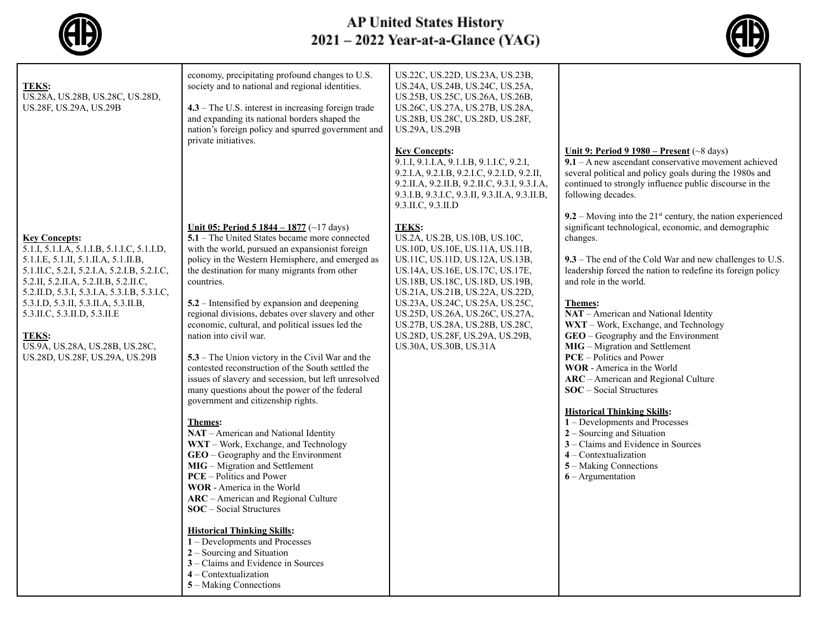

## AP United States History<br>2021 – 2022 Year-at-a-Glance (YAG)



| TEKS:<br>US.28A, US.28B, US.28C, US.28D,<br>US.28F, US.29A, US.29B                                                                                                                                                                                                                                                                                                                                            | economy, precipitating profound changes to U.S.<br>society and to national and regional identities.<br>$4.3$ – The U.S. interest in increasing foreign trade<br>and expanding its national borders shaped the<br>nation's foreign policy and spurred government and<br>private initiatives.                                                                                                                                                                                                                                                                                                                                                                                                                                                                                                                                                                                                                                                                                                                                                                                                                                                                                                                                        | US.22C, US.22D, US.23A, US.23B,<br>US.24A, US.24B, US.24C, US.25A,<br>US.25B, US.25C, US.26A, US.26B,<br>US.26C, US.27A, US.27B, US.28A,<br>US.28B, US.28C, US.28D, US.28F,<br><b>US.29A, US.29B</b>                                                                                                                                                                                                                                                                                                                                                                                                                                          |                                                                                                                                                                                                                                                                                                                                                                                                                                                                                                                                                                                                                                                                                                                                                                                                                                                                                                                                                                                                                                                                                     |
|---------------------------------------------------------------------------------------------------------------------------------------------------------------------------------------------------------------------------------------------------------------------------------------------------------------------------------------------------------------------------------------------------------------|------------------------------------------------------------------------------------------------------------------------------------------------------------------------------------------------------------------------------------------------------------------------------------------------------------------------------------------------------------------------------------------------------------------------------------------------------------------------------------------------------------------------------------------------------------------------------------------------------------------------------------------------------------------------------------------------------------------------------------------------------------------------------------------------------------------------------------------------------------------------------------------------------------------------------------------------------------------------------------------------------------------------------------------------------------------------------------------------------------------------------------------------------------------------------------------------------------------------------------|-----------------------------------------------------------------------------------------------------------------------------------------------------------------------------------------------------------------------------------------------------------------------------------------------------------------------------------------------------------------------------------------------------------------------------------------------------------------------------------------------------------------------------------------------------------------------------------------------------------------------------------------------|-------------------------------------------------------------------------------------------------------------------------------------------------------------------------------------------------------------------------------------------------------------------------------------------------------------------------------------------------------------------------------------------------------------------------------------------------------------------------------------------------------------------------------------------------------------------------------------------------------------------------------------------------------------------------------------------------------------------------------------------------------------------------------------------------------------------------------------------------------------------------------------------------------------------------------------------------------------------------------------------------------------------------------------------------------------------------------------|
| <b>Key Concepts:</b><br>5.1.I, 5.1.I.A, 5.1.I.B, 5.1.I.C, 5.1.I.D,<br>5.1.I.E, 5.1.II, 5.1.II.A, 5.1.II.B,<br>5.1.II.C, 5.2.I, 5.2.I.A, 5.2.I.B, 5.2.I.C,<br>5.2.II, 5.2.II.A, 5.2.II.B, 5.2.II.C,<br>5.2.II.D, 5.3.I, 5.3.I.A, 5.3.I.B, 5.3.I.C,<br>5.3.I.D, 5.3.II, 5.3.II.A, 5.3.II.B,<br>5.3.II.C, 5.3.II.D, 5.3.II.E<br><b>TEKS:</b><br>US.9A, US.28A, US.28B, US.28C,<br>US.28D, US.28F, US.29A, US.29B | Unit 05: Period 5 1844 - 1877 (~17 days)<br>5.1 – The United States became more connected<br>with the world, pursued an expansionist foreign<br>policy in the Western Hemisphere, and emerged as<br>the destination for many migrants from other<br>countries.<br>5.2 – Intensified by expansion and deepening<br>regional divisions, debates over slavery and other<br>economic, cultural, and political issues led the<br>nation into civil war.<br>5.3 – The Union victory in the Civil War and the<br>contested reconstruction of the South settled the<br>issues of slavery and secession, but left unresolved<br>many questions about the power of the federal<br>government and citizenship rights.<br><b>Themes:</b><br>NAT - American and National Identity<br>WXT - Work, Exchange, and Technology<br>GEO - Geography and the Environment<br>MIG - Migration and Settlement<br><b>PCE</b> – Politics and Power<br>WOR - America in the World<br>ARC - American and Regional Culture<br><b>SOC</b> – Social Structures<br><b>Historical Thinking Skills:</b><br>1 - Developments and Processes<br>$2 -$ Sourcing and Situation<br>3 – Claims and Evidence in Sources<br>$4$ – Contextualization<br>5 – Making Connections | <b>Key Concepts:</b><br>9.1.I, 9.1.I.A, 9.1.I.B, 9.1.I.C, 9.2.I,<br>9.2.I.A, 9.2.I.B, 9.2.I.C, 9.2.I.D, 9.2.II,<br>9.2.II.A, 9.2.II.B, 9.2.II.C, 9.3.I, 9.3.I.A,<br>9.3.I.B, 9.3.I.C, 9.3.II, 9.3.II.A, 9.3.II.B,<br>9.3.II.C, 9.3.II.D<br><b>TEKS:</b><br>US.2A, US.2B, US.10B, US.10C,<br>US.10D, US.10E, US.11A, US.11B,<br>US.11C, US.11D, US.12A, US.13B,<br>US.14A, US.16E, US.17C, US.17E,<br>US.18B, US.18C, US.18D, US.19B,<br>US.21A, US.21B, US.22A, US.22D,<br>US.23A, US.24C, US.25A, US.25C,<br>US.25D, US.26A, US.26C, US.27A,<br>US.27B, US.28A, US.28B, US.28C,<br>US.28D, US.28F, US.29A, US.29B,<br>US.30A, US.30B, US.31A | Unit 9: Period 9 $1980$ – Present (~8 days)<br>$9.1 - A$ new ascendant conservative movement achieved<br>several political and policy goals during the 1980s and<br>continued to strongly influence public discourse in the<br>following decades.<br>9.2 – Moving into the $21^{st}$ century, the nation experienced<br>significant technological, economic, and demographic<br>changes.<br>9.3 – The end of the Cold War and new challenges to U.S.<br>leadership forced the nation to redefine its foreign policy<br>and role in the world.<br>Themes:<br>NAT - American and National Identity<br>WXT - Work, Exchange, and Technology<br>GEO - Geography and the Environment<br>MIG - Migration and Settlement<br><b>PCE</b> – Politics and Power<br>WOR - America in the World<br>ARC - American and Regional Culture<br><b>SOC</b> – Social Structures<br><b>Historical Thinking Skills:</b><br>1 – Developments and Processes<br>2 – Sourcing and Situation<br>3 – Claims and Evidence in Sources<br>$4$ – Contextualization<br>5 – Making Connections<br>$6 -$ Argumentation |